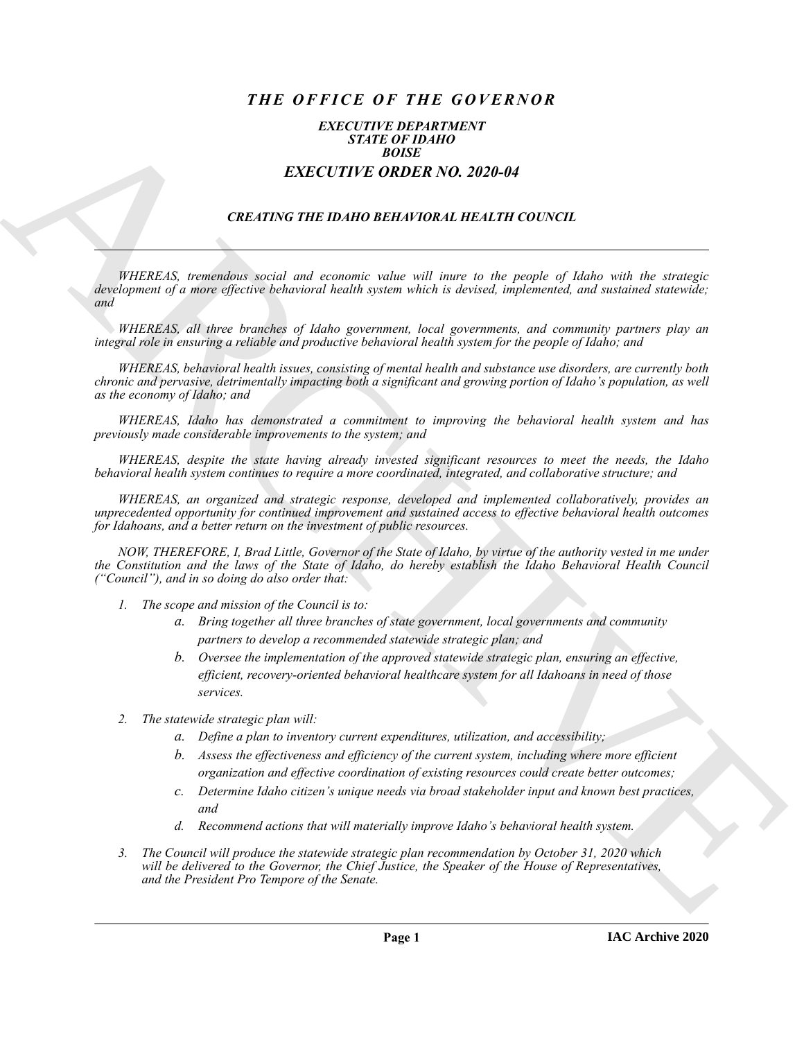# *THE OFFICE OF THE GOVERNOR*

## *EXECUTIVE DEPARTMENT STATE OF IDAHO BOISE EXECUTIVE ORDER NO. 2020-04*

# *CREATING THE IDAHO BEHAVIORAL HEALTH COUNCIL*

*WHEREAS, tremendous social and economic value will inure to the people of Idaho with the strategic development of a more effective behavioral health system which is devised, implemented, and sustained statewide; and*

*WHEREAS, all three branches of Idaho government, local governments, and community partners play an integral role in ensuring a reliable and productive behavioral health system for the people of Idaho; and*

**EXACTLY THE FORDER NO. 30:30-44**<br> **EXACTLY THE CHOICH SCALE CONDUCT**<br> **EXACTLY THE ORDER NO. 30:30-44**<br> **EXACTLY THE ORDER NO. 30:30-44**<br> **CREATING THE DIRECT ORDER NO. 30:30-44**<br> **CREATING THE INFORMATION CONDUCT THE CH** *WHEREAS, behavioral health issues, consisting of mental health and substance use disorders, are currently both chronic and pervasive, detrimentally impacting both a significant and growing portion of Idaho's population, as well as the economy of Idaho; and*

*WHEREAS, Idaho has demonstrated a commitment to improving the behavioral health system and has previously made considerable improvements to the system; and*

*WHEREAS, despite the state having already invested significant resources to meet the needs, the Idaho behavioral health system continues to require a more coordinated, integrated, and collaborative structure; and*

*WHEREAS, an organized and strategic response, developed and implemented collaboratively, provides an unprecedented opportunity for continued improvement and sustained access to effective behavioral health outcomes for Idahoans, and a better return on the investment of public resources.*

*NOW, THEREFORE, I, Brad Little, Governor of the State of Idaho, by virtue of the authority vested in me under the Constitution and the laws of the State of Idaho, do hereby establish the Idaho Behavioral Health Council ("Council"), and in so doing do also order that:*

- *1. The scope and mission of the Council is to:*
	- *a. Bring together all three branches of state government, local governments and community partners to develop a recommended statewide strategic plan; and*
	- *b. Oversee the implementation of the approved statewide strategic plan, ensuring an effective, efficient, recovery-oriented behavioral healthcare system for all Idahoans in need of those services.*
- *2. The statewide strategic plan will:*
	- *a. Define a plan to inventory current expenditures, utilization, and accessibility;*
	- *b. Assess the effectiveness and efficiency of the current system, including where more efficient organization and effective coordination of existing resources could create better outcomes;*
	- *c. Determine Idaho citizen's unique needs via broad stakeholder input and known best practices, and*
	- *d. Recommend actions that will materially improve Idaho's behavioral health system.*
- *3. The Council will produce the statewide strategic plan recommendation by October 31, 2020 which will be delivered to the Governor, the Chief Justice, the Speaker of the House of Representatives, and the President Pro Tempore of the Senate.*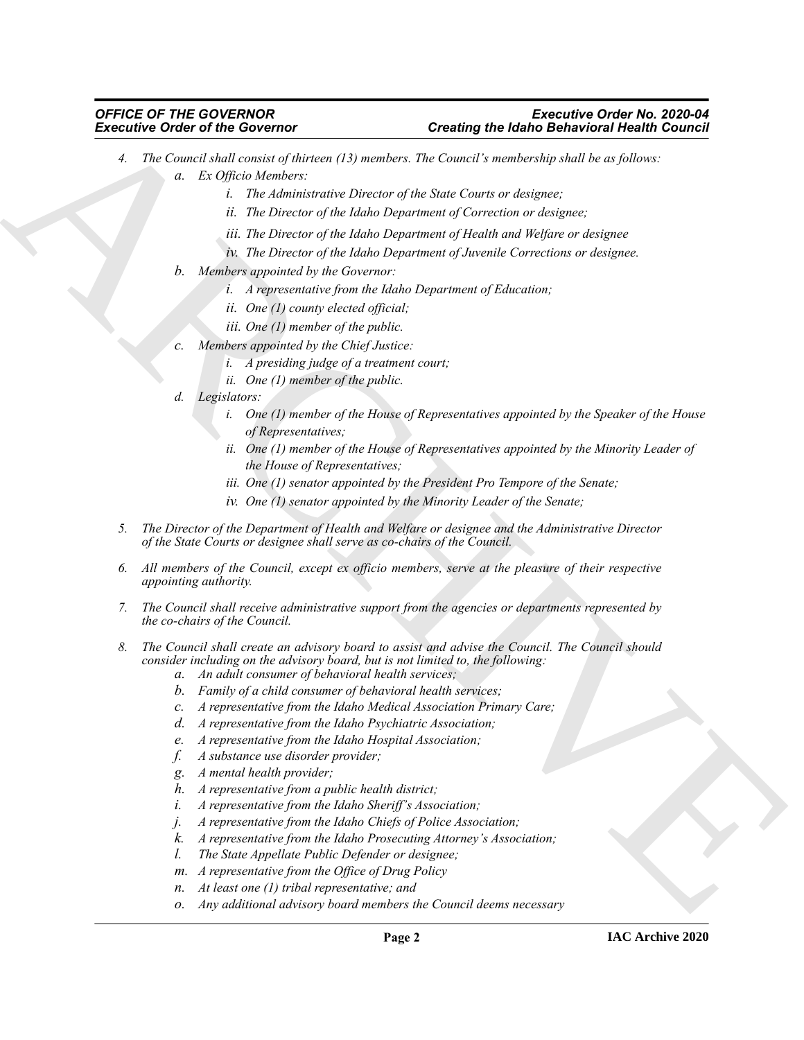### *OFFICE OF THE GOVERNOR Executive Order No. 2020-04 Executive Order of the Governor Creating the Idaho Behavioral Health Council*

- Exercisive Critics Control in the University of the University of the Control interaction of the Control interaction of the University of the University of the University of the University of the University of the Univers *4. The Council shall consist of thirteen (13) members. The Council's membership shall be as follows: a. Ex Officio Members:*
	- *i. The Administrative Director of the State Courts or designee;*
	- *ii. The Director of the Idaho Department of Correction or designee;*
	- *iii. The Director of the Idaho Department of Health and Welfare or designee*
	- *iv. The Director of the Idaho Department of Juvenile Corrections or designee.*
	- *b. Members appointed by the Governor:*
		- *i. A representative from the Idaho Department of Education;*
		- *ii. One (1) county elected official;*
		- *iii. One (1) member of the public.*
	- *c. Members appointed by the Chief Justice:*
		- *i. A presiding judge of a treatment court;*
			- *ii. One (1) member of the public.*
	- *d. Legislators:*
		- *i. One (1) member of the House of Representatives appointed by the Speaker of the House of Representatives;*
		- *ii. One (1) member of the House of Representatives appointed by the Minority Leader of the House of Representatives;*
		- *iii. One (1) senator appointed by the President Pro Tempore of the Senate;*
		- *iv. One (1) senator appointed by the Minority Leader of the Senate;*
	- *5. The Director of the Department of Health and Welfare or designee and the Administrative Director of the State Courts or designee shall serve as co-chairs of the Council.*
	- *6. All members of the Council, except ex officio members, serve at the pleasure of their respective appointing authority.*
	- *7. The Council shall receive administrative support from the agencies or departments represented by the co-chairs of the Council.*
	- *8. The Council shall create an advisory board to assist and advise the Council. The Council should consider including on the advisory board, but is not limited to, the following:*
		- *a. An adult consumer of behavioral health services;*
		- *b. Family of a child consumer of behavioral health services;*
		- *c. A representative from the Idaho Medical Association Primary Care;*
		- *d. A representative from the Idaho Psychiatric Association;*
		- *e. A representative from the Idaho Hospital Association;*
		- *f. A substance use disorder provider;*
		- *g. A mental health provider;*
		- *h. A representative from a public health district;*
		- *i. A representative from the Idaho Sheriff's Association;*
		- *j. A representative from the Idaho Chiefs of Police Association;*
		- *k. A representative from the Idaho Prosecuting Attorney's Association;*
		- *l. The State Appellate Public Defender or designee;*
		- *m. A representative from the Office of Drug Policy*
		- *n. At least one (1) tribal representative; and*
		- *o. Any additional advisory board members the Council deems necessary*